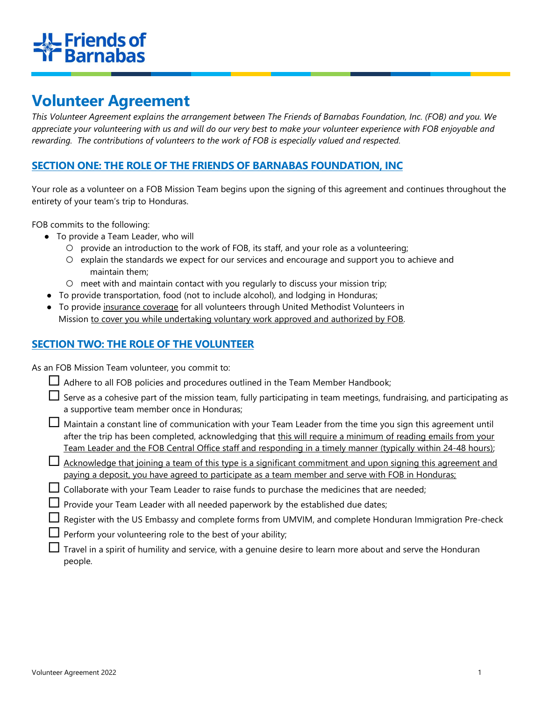# **IL Friends of<br>IC Barnabas**

# Volunteer Agreement

This Volunteer Agreement explains the arrangement between The Friends of Barnabas Foundation, Inc. (FOB) and you. We appreciate your volunteering with us and will do our very best to make your volunteer experience with FOB enjoyable and rewarding. The contributions of volunteers to the work of FOB is especially valued and respected.

# SECTION ONE: THE ROLE OF THE FRIENDS OF BARNABAS FOUNDATION, INC

Your role as a volunteer on a FOB Mission Team begins upon the signing of this agreement and continues throughout the entirety of your team's trip to Honduras.

FOB commits to the following:

- To provide a Team Leader, who will
	- provide an introduction to the work of FOB, its staff, and your role as a volunteering;
	- explain the standards we expect for our services and encourage and support you to achieve and maintain them;
	- meet with and maintain contact with you regularly to discuss your mission trip;
- To provide transportation, food (not to include alcohol), and lodging in Honduras;
- To provide insurance coverage for all volunteers through United Methodist Volunteers in Mission to cover you while undertaking voluntary work approved and authorized by FOB.

# SECTION TWO: THE ROLE OF THE VOLUNTEER

As an FOB Mission Team volunteer, you commit to:

|  | $\Box$ Adhere to all FOB policies and procedures outlined in the Team Member Handbook; |
|--|----------------------------------------------------------------------------------------|
|--|----------------------------------------------------------------------------------------|

| $\Box$ Serve as a cohesive part of the mission team, fully participating in team meetings, fundraising, and participating as |  |  |
|------------------------------------------------------------------------------------------------------------------------------|--|--|
| a supportive team member once in Honduras;                                                                                   |  |  |

- $\Box$  Maintain a constant line of communication with your Team Leader from the time you sign this agreement until after the trip has been completed, acknowledging that this will require a minimum of reading emails from your Team Leader and the FOB Central Office staff and responding in a timely manner (typically within 24-48 hours);
- $\Box$  Acknowledge that joining a team of this type is a significant commitment and upon signing this agreement and paying a deposit, you have agreed to participate as a team member and serve with FOB in Honduras;
- $\Box$  Collaborate with your Team Leader to raise funds to purchase the medicines that are needed;
- $\Box$  Provide your Team Leader with all needed paperwork by the established due dates;
- $\Box$  Register with the US Embassy and complete forms from UMVIM, and complete Honduran Immigration Pre-check
- $\Box$  Perform your volunteering role to the best of your ability;
- $\Box$  Travel in a spirit of humility and service, with a genuine desire to learn more about and serve the Honduran people.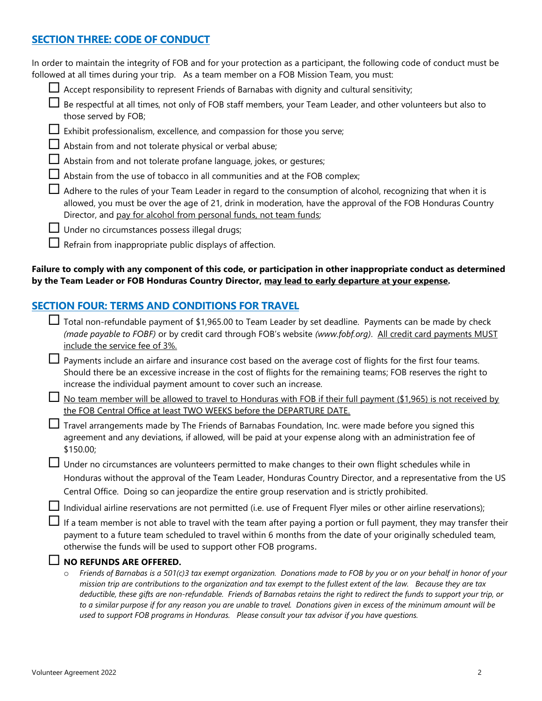# SECTION THREE: CODE OF CONDUCT

| In order to maintain the integrity of FOB and for your protection as a participant, the following code of conduct must be |
|---------------------------------------------------------------------------------------------------------------------------|
| followed at all times during your trip. As a team member on a FOB Mission Team, you must:                                 |
| $\Box$ Accept responsibility to represent Friends of Barnabas with dignity and cultural sensitivity;                      |
| Be respectful at all times, not only of FOB staff members, your Team Leader, and other volunteers but also to             |
| those served by FOB;                                                                                                      |

- $\Box$  Exhibit professionalism, excellence, and compassion for those you serve;
- $\Box$  Abstain from and not tolerate physical or verbal abuse;
- Abstain from and not tolerate profane language, jokes, or gestures;
- $\Box$  Abstain from the use of tobacco in all communities and at the FOB complex;

 $\Box$  Adhere to the rules of your Team Leader in regard to the consumption of alcohol, recognizing that when it is allowed, you must be over the age of 21, drink in moderation, have the approval of the FOB Honduras Country Director, and pay for alcohol from personal funds, not team funds;

- $\Box$  Under no circumstances possess illegal drugs;
- $\Box$  Refrain from inappropriate public displays of affection.

#### Failure to comply with any component of this code, or participation in other inappropriate conduct as determined by the Team Leader or FOB Honduras Country Director, may lead to early departure at your expense.

# SECTION FOUR: TERMS AND CONDITIONS FOR TRAVEL

| Total non-refundable payment of \$1,965.00 to Team Leader by set deadline. Payments can be made by check<br>(made payable to FOBF) or by credit card through FOB's website (www.fobf.org). All credit card payments MUST<br>include the service fee of 3%.                                                                                                                                                                                                                                                                                                                                                                           |
|--------------------------------------------------------------------------------------------------------------------------------------------------------------------------------------------------------------------------------------------------------------------------------------------------------------------------------------------------------------------------------------------------------------------------------------------------------------------------------------------------------------------------------------------------------------------------------------------------------------------------------------|
| Payments include an airfare and insurance cost based on the average cost of flights for the first four teams.<br>Should there be an excessive increase in the cost of flights for the remaining teams; FOB reserves the right to<br>increase the individual payment amount to cover such an increase.                                                                                                                                                                                                                                                                                                                                |
| No team member will be allowed to travel to Honduras with FOB if their full payment (\$1,965) is not received by<br>the FOB Central Office at least TWO WEEKS before the DEPARTURE DATE.                                                                                                                                                                                                                                                                                                                                                                                                                                             |
| Travel arrangements made by The Friends of Barnabas Foundation, Inc. were made before you signed this<br>agreement and any deviations, if allowed, will be paid at your expense along with an administration fee of<br>\$150.00;                                                                                                                                                                                                                                                                                                                                                                                                     |
| Under no circumstances are volunteers permitted to make changes to their own flight schedules while in<br>Honduras without the approval of the Team Leader, Honduras Country Director, and a representative from the US<br>Central Office. Doing so can jeopardize the entire group reservation and is strictly prohibited.                                                                                                                                                                                                                                                                                                          |
| Individual airline reservations are not permitted (i.e. use of Frequent Flyer miles or other airline reservations);                                                                                                                                                                                                                                                                                                                                                                                                                                                                                                                  |
| If a team member is not able to travel with the team after paying a portion or full payment, they may transfer their<br>payment to a future team scheduled to travel within 6 months from the date of your originally scheduled team,<br>otherwise the funds will be used to support other FOB programs.                                                                                                                                                                                                                                                                                                                             |
| NO REFUNDS ARE OFFERED.                                                                                                                                                                                                                                                                                                                                                                                                                                                                                                                                                                                                              |
| Friends of Barnabas is a 501(c)3 tax exempt organization. Donations made to FOB by you or on your behalf in honor of your<br>$\circ$<br>mission trip are contributions to the organization and tax exempt to the fullest extent of the law. Because they are tax<br>deductible, these gifts are non-refundable. Friends of Barnabas retains the right to redirect the funds to support your trip, or<br>to a similar purpose if for any reason you are unable to travel. Donations given in excess of the minimum amount will be<br>used to support FOB programs in Honduras. Please consult your tax advisor if you have questions. |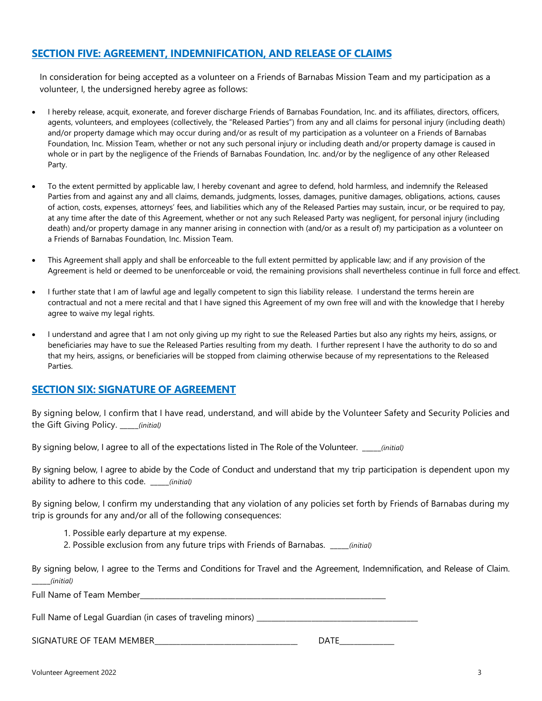### SECTION FIVE: AGREEMENT, INDEMNIFICATION, AND RELEASE OF CLAIMS

In consideration for being accepted as a volunteer on a Friends of Barnabas Mission Team and my participation as a volunteer, I, the undersigned hereby agree as follows:

- I hereby release, acquit, exonerate, and forever discharge Friends of Barnabas Foundation, Inc. and its affiliates, directors, officers, agents, volunteers, and employees (collectively, the "Released Parties") from any and all claims for personal injury (including death) and/or property damage which may occur during and/or as result of my participation as a volunteer on a Friends of Barnabas Foundation, Inc. Mission Team, whether or not any such personal injury or including death and/or property damage is caused in whole or in part by the negligence of the Friends of Barnabas Foundation, Inc. and/or by the negligence of any other Released Party.
- To the extent permitted by applicable law, I hereby covenant and agree to defend, hold harmless, and indemnify the Released Parties from and against any and all claims, demands, judgments, losses, damages, punitive damages, obligations, actions, causes of action, costs, expenses, attorneys' fees, and liabilities which any of the Released Parties may sustain, incur, or be required to pay, at any time after the date of this Agreement, whether or not any such Released Party was negligent, for personal injury (including death) and/or property damage in any manner arising in connection with (and/or as a result of) my participation as a volunteer on a Friends of Barnabas Foundation, Inc. Mission Team.
- This Agreement shall apply and shall be enforceable to the full extent permitted by applicable law; and if any provision of the Agreement is held or deemed to be unenforceable or void, the remaining provisions shall nevertheless continue in full force and effect.
- I further state that I am of lawful age and legally competent to sign this liability release. I understand the terms herein are contractual and not a mere recital and that I have signed this Agreement of my own free will and with the knowledge that I hereby agree to waive my legal rights.
- I understand and agree that I am not only giving up my right to sue the Released Parties but also any rights my heirs, assigns, or beneficiaries may have to sue the Released Parties resulting from my death. I further represent I have the authority to do so and that my heirs, assigns, or beneficiaries will be stopped from claiming otherwise because of my representations to the Released Parties.

#### SECTION SIX: SIGNATURE OF AGREEMENT

By signing below, I confirm that I have read, understand, and will abide by the Volunteer Safety and Security Policies and the Gift Giving Policy. *(initial)* 

By signing below, I agree to all of the expectations listed in The Role of the Volunteer. \_\_\_\_\_(initial)

By signing below, I agree to abide by the Code of Conduct and understand that my trip participation is dependent upon my ability to adhere to this code. \_\_\_\_\_(initial)

By signing below, I confirm my understanding that any violation of any policies set forth by Friends of Barnabas during my trip is grounds for any and/or all of the following consequences:

- 1. Possible early departure at my expense.
- 2. Possible exclusion from any future trips with Friends of Barnabas. \_\_\_\_(initial)

By signing below, I agree to the Terms and Conditions for Travel and the Agreement, Indemnification, and Release of Claim. \_\_\_\_\_(initial)

Full Name of Team Member

Full Name of Legal Guardian (in cases of traveling minors) \_\_\_\_\_\_\_\_\_\_\_\_\_\_\_\_\_\_\_\_\_\_\_\_\_\_\_\_\_\_\_\_\_\_\_\_\_\_\_\_\_\_\_\_

SIGNATURE OF TEAM MEMBER THE LOCAL SERVICE OF THE LOCAL MEMBER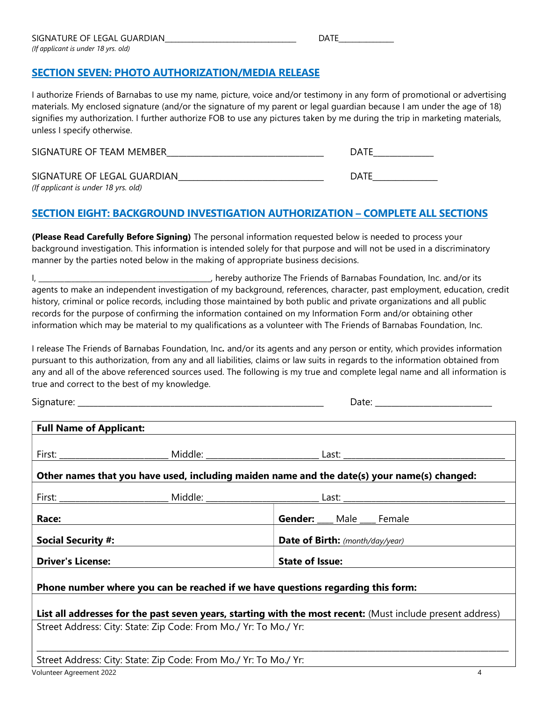SECTION SEVEN: PHOTO AUTHORIZATION/MEDIA RELEASE

I authorize Friends of Barnabas to use my name, picture, voice and/or testimony in any form of promotional or advertising materials. My enclosed signature (and/or the signature of my parent or legal guardian because I am under the age of 18) signifies my authorization. I further authorize FOB to use any pictures taken by me during the trip in marketing materials, unless I specify otherwise.

| SIGNATURE OF TEAM MEMBER                                           | DATE |
|--------------------------------------------------------------------|------|
| SIGNATURE OF LEGAL GUARDIAN<br>(If applicant is under 18 yrs. old) | DATE |

# SECTION EIGHT: BACKGROUND INVESTIGATION AUTHORIZATION – COMPLETE ALL SECTIONS

(Please Read Carefully Before Signing) The personal information requested below is needed to process your background investigation. This information is intended solely for that purpose and will not be used in a discriminatory manner by the parties noted below in the making of appropriate business decisions.

I, \_\_\_\_\_\_\_\_\_\_\_\_\_\_\_\_\_\_\_\_\_\_\_\_\_\_\_\_\_\_\_\_\_\_\_\_\_\_\_\_\_\_\_\_\_\_\_, hereby authorize The Friends of Barnabas Foundation, Inc. and/or its agents to make an independent investigation of my background, references, character, past employment, education, credit history, criminal or police records, including those maintained by both public and private organizations and all public records for the purpose of confirming the information contained on my Information Form and/or obtaining other information which may be material to my qualifications as a volunteer with The Friends of Barnabas Foundation, Inc.

I release The Friends of Barnabas Foundation, Inc. and/or its agents and any person or entity, which provides information pursuant to this authorization, from any and all liabilities, claims or law suits in regards to the information obtained from any and all of the above referenced sources used. The following is my true and complete legal name and all information is true and correct to the best of my knowledge.

Signature: \_\_\_\_\_\_\_\_\_\_\_\_\_\_\_\_\_\_\_\_\_\_\_\_\_\_\_\_\_\_\_\_\_\_\_\_\_\_\_\_\_\_\_\_\_\_\_\_\_\_\_\_\_\_\_\_\_\_\_\_\_ Date: \_\_\_\_\_\_\_\_\_\_\_\_\_\_\_\_\_\_\_\_\_\_\_\_\_\_\_\_\_

| <b>Full Name of Applicant:</b>                                                                             |                                                                  |                                                                                             |  |  |
|------------------------------------------------------------------------------------------------------------|------------------------------------------------------------------|---------------------------------------------------------------------------------------------|--|--|
|                                                                                                            |                                                                  |                                                                                             |  |  |
|                                                                                                            |                                                                  | Other names that you have used, including maiden name and the date(s) your name(s) changed: |  |  |
|                                                                                                            |                                                                  |                                                                                             |  |  |
| Race:                                                                                                      |                                                                  | Gender: ___ Male ___ Female                                                                 |  |  |
| <b>Social Security #:</b>                                                                                  |                                                                  | <b>Date of Birth:</b> (month/day/year)                                                      |  |  |
| <b>Driver's License:</b>                                                                                   |                                                                  | <b>State of Issue:</b>                                                                      |  |  |
|                                                                                                            |                                                                  | Phone number where you can be reached if we have questions regarding this form:             |  |  |
| List all addresses for the past seven years, starting with the most recent: (Must include present address) |                                                                  |                                                                                             |  |  |
|                                                                                                            | Street Address: City: State: Zip Code: From Mo./ Yr: To Mo./ Yr: |                                                                                             |  |  |
|                                                                                                            | Street Address: City: State: Zip Code: From Mo./ Yr: To Mo./ Yr: |                                                                                             |  |  |